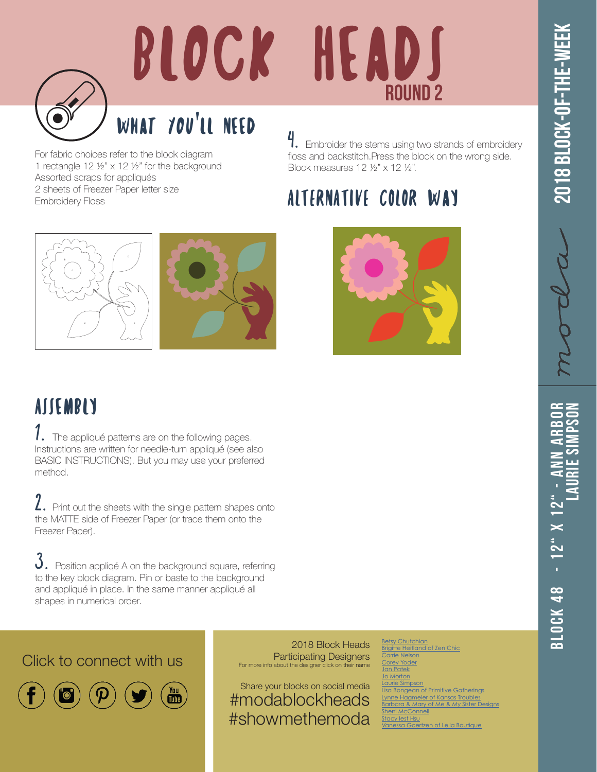

## BLOCK HEADS ROUND 2

## What You'll Need

For fabric choices refer to the block diagram 1 rectangle 12 ½" x 12 ½" for the background Assorted scraps for appliqués 2 sheets of Freezer Paper letter size Embroidery Floss

4. Embroider the stems using two strands of embroidery floss and backstitch.Press the block on the wrong side. Block measures 12 ½" x 12 ½".

## ALTERNATIVE COLOR Way







**ASSEMBLY** 

1. The appliqué patterns are on the following pages. Instructions are written for needle-turn appliqué (see also BASIC INSTRUCTIONS). But you may use your preferred method.

 $2.$  Print out the sheets with the single pattern shapes onto the MATTE side of Freezer Paper (or trace them onto the Freezer Paper).

 $3.$  Position appliqé A on the background square, referring to the key block diagram. Pin or baste to the background and appliqué in place. In the same manner appliqué all shapes in numerical order.

Click to connect with us



2018 Block Heads Participating Designers For more info about the designer click on the

Share your blocks on social media #modablockheads #showmethemoda

[Betsy Chutchian](http://betsysbestquiltsandmore.blogspot.de) rigitte Heitland [Carrie Nelson](http://blog.modafabrics.com/) Yoder [Jan Patek](http://janpatek.blogspot.com/) [Jo Morton](http://jomortonquilts.com/jos_journal/) [Laurie Simpson](https://www.instagram.com/minickandsimpson/) **Lisa Bongers**<br>Disponsive Gatherings <u>ynne Hagmeier of Kansas Troubles</u> ra & Mary o [Sherri McConnell](http://www.aquiltinglife.com) y lest Hsu: **Vanco Goertzen of Lella Boutique** 

Block 48 - 12" x 12" - Ann Arbor **Laurie Simpson**  $3L0CK 48 - 12" X 12"$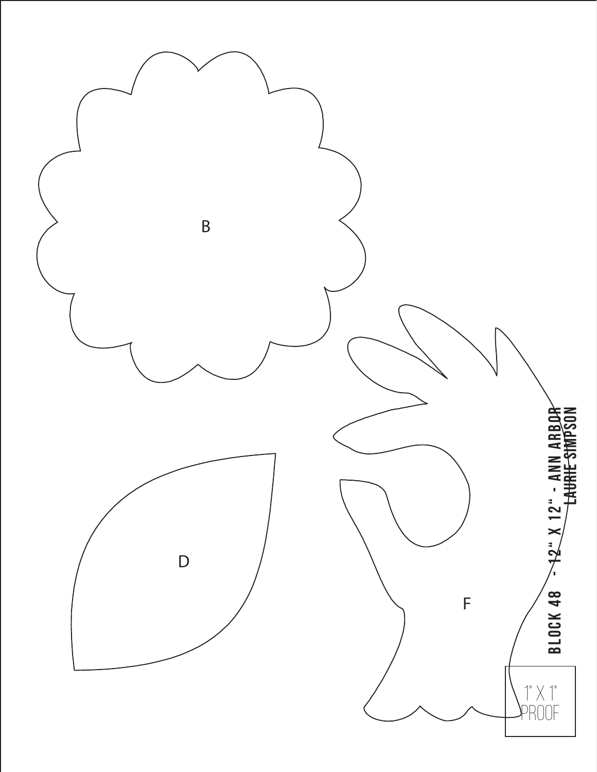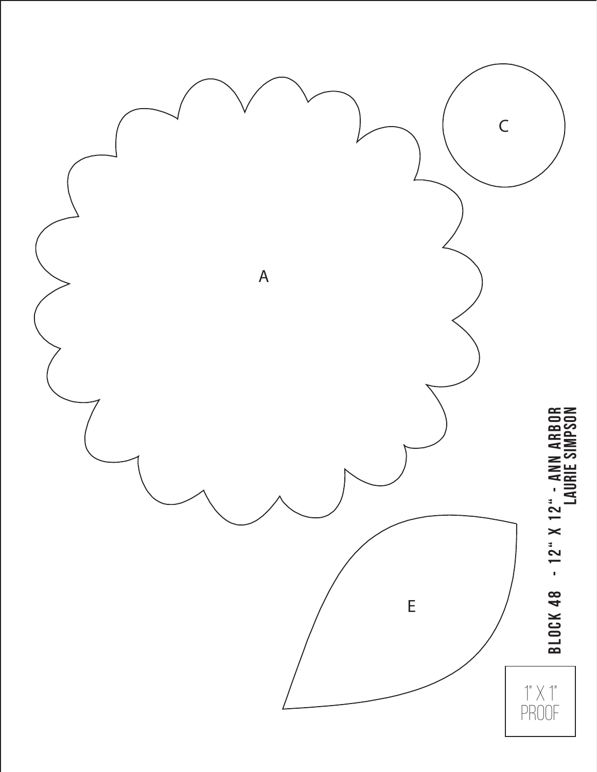